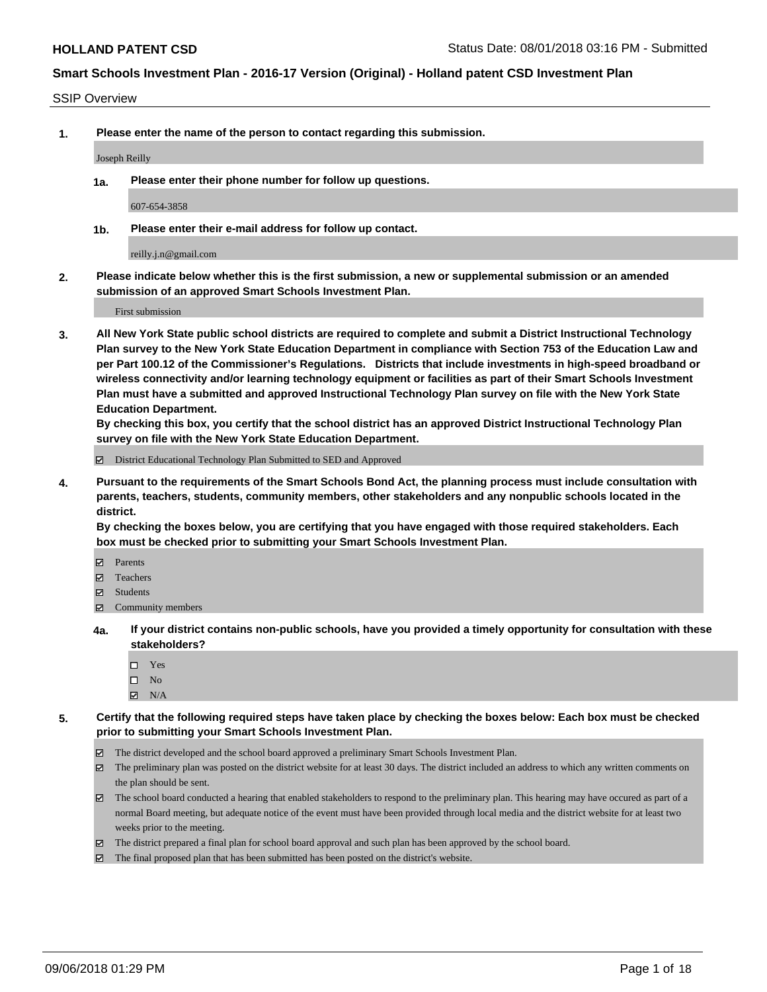#### SSIP Overview

**1. Please enter the name of the person to contact regarding this submission.**

Joseph Reilly

**1a. Please enter their phone number for follow up questions.**

607-654-3858

**1b. Please enter their e-mail address for follow up contact.**

reilly.j.n@gmail.com

**2. Please indicate below whether this is the first submission, a new or supplemental submission or an amended submission of an approved Smart Schools Investment Plan.**

First submission

**3. All New York State public school districts are required to complete and submit a District Instructional Technology Plan survey to the New York State Education Department in compliance with Section 753 of the Education Law and per Part 100.12 of the Commissioner's Regulations. Districts that include investments in high-speed broadband or wireless connectivity and/or learning technology equipment or facilities as part of their Smart Schools Investment Plan must have a submitted and approved Instructional Technology Plan survey on file with the New York State Education Department.** 

**By checking this box, you certify that the school district has an approved District Instructional Technology Plan survey on file with the New York State Education Department.**

District Educational Technology Plan Submitted to SED and Approved

**4. Pursuant to the requirements of the Smart Schools Bond Act, the planning process must include consultation with parents, teachers, students, community members, other stakeholders and any nonpublic schools located in the district.** 

**By checking the boxes below, you are certifying that you have engaged with those required stakeholders. Each box must be checked prior to submitting your Smart Schools Investment Plan.**

- **Parents**
- Teachers
- **☑** Students
- **☑** Community members
- **4a. If your district contains non-public schools, have you provided a timely opportunity for consultation with these stakeholders?**
	- □ Yes
	- $\square$  No
	- $\boxtimes$  N/A
- **5. Certify that the following required steps have taken place by checking the boxes below: Each box must be checked prior to submitting your Smart Schools Investment Plan.**
	- The district developed and the school board approved a preliminary Smart Schools Investment Plan.
	- $\boxtimes$  The preliminary plan was posted on the district website for at least 30 days. The district included an address to which any written comments on the plan should be sent.
	- The school board conducted a hearing that enabled stakeholders to respond to the preliminary plan. This hearing may have occured as part of a normal Board meeting, but adequate notice of the event must have been provided through local media and the district website for at least two weeks prior to the meeting.
	- The district prepared a final plan for school board approval and such plan has been approved by the school board.
	- The final proposed plan that has been submitted has been posted on the district's website.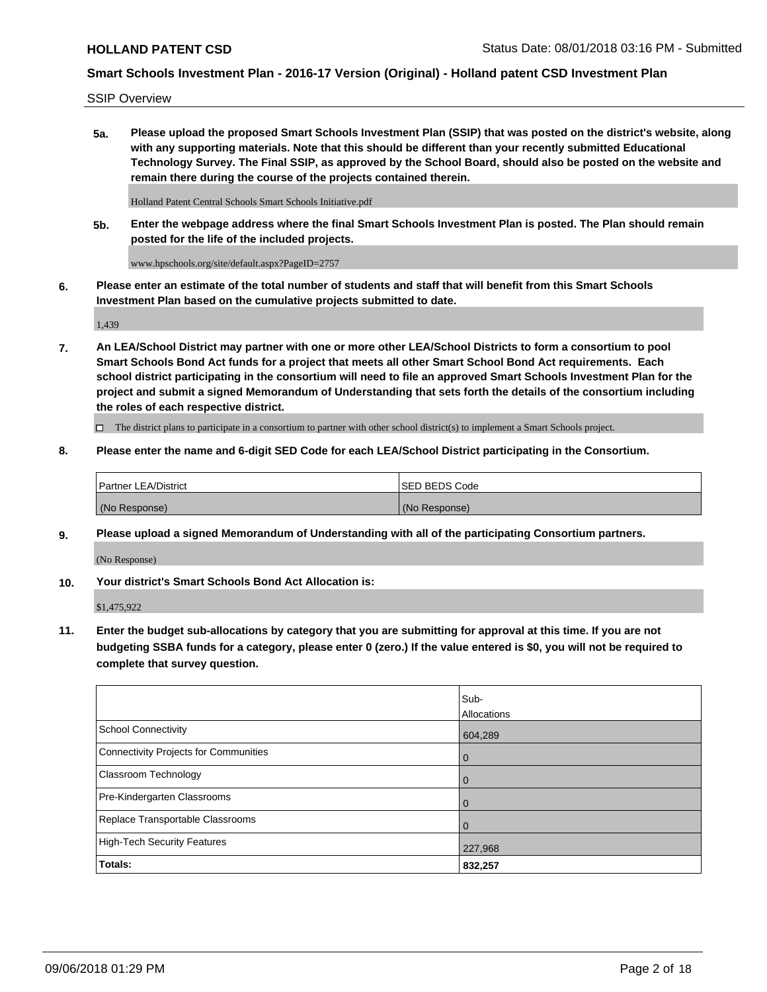SSIP Overview

**5a. Please upload the proposed Smart Schools Investment Plan (SSIP) that was posted on the district's website, along with any supporting materials. Note that this should be different than your recently submitted Educational Technology Survey. The Final SSIP, as approved by the School Board, should also be posted on the website and remain there during the course of the projects contained therein.**

Holland Patent Central Schools Smart Schools Initiative.pdf

**5b. Enter the webpage address where the final Smart Schools Investment Plan is posted. The Plan should remain posted for the life of the included projects.**

www.hpschools.org/site/default.aspx?PageID=2757

**6. Please enter an estimate of the total number of students and staff that will benefit from this Smart Schools Investment Plan based on the cumulative projects submitted to date.**

1,439

**7. An LEA/School District may partner with one or more other LEA/School Districts to form a consortium to pool Smart Schools Bond Act funds for a project that meets all other Smart School Bond Act requirements. Each school district participating in the consortium will need to file an approved Smart Schools Investment Plan for the project and submit a signed Memorandum of Understanding that sets forth the details of the consortium including the roles of each respective district.**

 $\Box$  The district plans to participate in a consortium to partner with other school district(s) to implement a Smart Schools project.

## **8. Please enter the name and 6-digit SED Code for each LEA/School District participating in the Consortium.**

| Partner LEA/District | <b>ISED BEDS Code</b> |
|----------------------|-----------------------|
| (No Response)        | (No Response)         |

## **9. Please upload a signed Memorandum of Understanding with all of the participating Consortium partners.**

(No Response)

**10. Your district's Smart Schools Bond Act Allocation is:**

\$1,475,922

**11. Enter the budget sub-allocations by category that you are submitting for approval at this time. If you are not budgeting SSBA funds for a category, please enter 0 (zero.) If the value entered is \$0, you will not be required to complete that survey question.**

|                                       | Sub-<br><b>Allocations</b> |
|---------------------------------------|----------------------------|
| School Connectivity                   | 604,289                    |
| Connectivity Projects for Communities | $\overline{0}$             |
| <b>Classroom Technology</b>           | $\overline{0}$             |
| Pre-Kindergarten Classrooms           | $\Omega$                   |
| Replace Transportable Classrooms      | $\Omega$                   |
| High-Tech Security Features           | 227,968                    |
| Totals:                               | 832,257                    |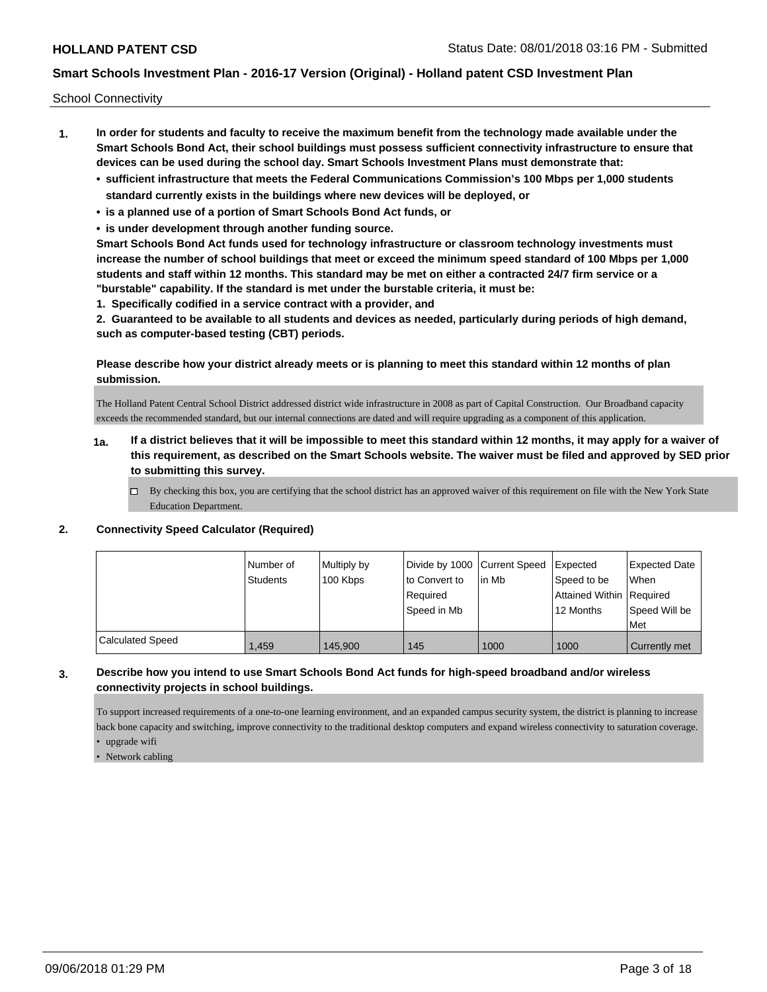School Connectivity

- **1. In order for students and faculty to receive the maximum benefit from the technology made available under the Smart Schools Bond Act, their school buildings must possess sufficient connectivity infrastructure to ensure that devices can be used during the school day. Smart Schools Investment Plans must demonstrate that:**
	- **• sufficient infrastructure that meets the Federal Communications Commission's 100 Mbps per 1,000 students standard currently exists in the buildings where new devices will be deployed, or**
	- **• is a planned use of a portion of Smart Schools Bond Act funds, or**
	- **• is under development through another funding source.**

**Smart Schools Bond Act funds used for technology infrastructure or classroom technology investments must increase the number of school buildings that meet or exceed the minimum speed standard of 100 Mbps per 1,000 students and staff within 12 months. This standard may be met on either a contracted 24/7 firm service or a "burstable" capability. If the standard is met under the burstable criteria, it must be:**

**1. Specifically codified in a service contract with a provider, and**

**2. Guaranteed to be available to all students and devices as needed, particularly during periods of high demand, such as computer-based testing (CBT) periods.**

**Please describe how your district already meets or is planning to meet this standard within 12 months of plan submission.**

The Holland Patent Central School District addressed district wide infrastructure in 2008 as part of Capital Construction. Our Broadband capacity exceeds the recommended standard, but our internal connections are dated and will require upgrading as a component of this application.

- **1a. If a district believes that it will be impossible to meet this standard within 12 months, it may apply for a waiver of this requirement, as described on the Smart Schools website. The waiver must be filed and approved by SED prior to submitting this survey.**
	- $\Box$  By checking this box, you are certifying that the school district has an approved waiver of this requirement on file with the New York State Education Department.

#### **2. Connectivity Speed Calculator (Required)**

|                         | l Number of<br><b>Students</b> | Multiply by<br>100 Kbps | Divide by 1000 Current Speed<br>to Convert to<br>Reauired<br>Speed in Mb | l in Mb | Expected<br>Speed to be<br>Attained Within Required<br>12 Months | <b>Expected Date</b><br><b>When</b><br>Speed Will be<br>Met |
|-------------------------|--------------------------------|-------------------------|--------------------------------------------------------------------------|---------|------------------------------------------------------------------|-------------------------------------------------------------|
| <b>Calculated Speed</b> | 1,459                          | 145.900                 | 145                                                                      | 1000    | 1000                                                             | <b>Currently met</b>                                        |

## **3. Describe how you intend to use Smart Schools Bond Act funds for high-speed broadband and/or wireless connectivity projects in school buildings.**

To support increased requirements of a one-to-one learning environment, and an expanded campus security system, the district is planning to increase back bone capacity and switching, improve connectivity to the traditional desktop computers and expand wireless connectivity to saturation coverage. • upgrade wifi

• Network cabling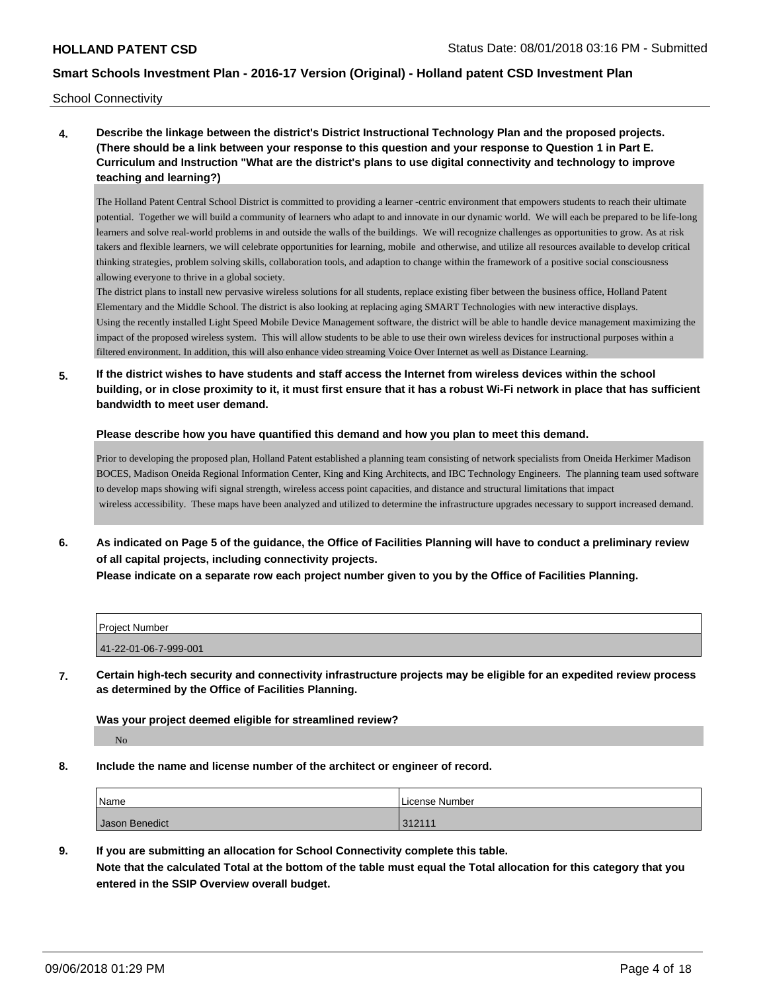School Connectivity

**4. Describe the linkage between the district's District Instructional Technology Plan and the proposed projects. (There should be a link between your response to this question and your response to Question 1 in Part E. Curriculum and Instruction "What are the district's plans to use digital connectivity and technology to improve teaching and learning?)**

The Holland Patent Central School District is committed to providing a learner -centric environment that empowers students to reach their ultimate potential. Together we will build a community of learners who adapt to and innovate in our dynamic world. We will each be prepared to be life-long learners and solve real-world problems in and outside the walls of the buildings. We will recognize challenges as opportunities to grow. As at risk takers and flexible learners, we will celebrate opportunities for learning, mobile and otherwise, and utilize all resources available to develop critical thinking strategies, problem solving skills, collaboration tools, and adaption to change within the framework of a positive social consciousness allowing everyone to thrive in a global society.

The district plans to install new pervasive wireless solutions for all students, replace existing fiber between the business office, Holland Patent Elementary and the Middle School. The district is also looking at replacing aging SMART Technologies with new interactive displays. Using the recently installed Light Speed Mobile Device Management software, the district will be able to handle device management maximizing the impact of the proposed wireless system. This will allow students to be able to use their own wireless devices for instructional purposes within a filtered environment. In addition, this will also enhance video streaming Voice Over Internet as well as Distance Learning.

**5. If the district wishes to have students and staff access the Internet from wireless devices within the school building, or in close proximity to it, it must first ensure that it has a robust Wi-Fi network in place that has sufficient bandwidth to meet user demand.**

**Please describe how you have quantified this demand and how you plan to meet this demand.**

Prior to developing the proposed plan, Holland Patent established a planning team consisting of network specialists from Oneida Herkimer Madison BOCES, Madison Oneida Regional Information Center, King and King Architects, and IBC Technology Engineers. The planning team used software to develop maps showing wifi signal strength, wireless access point capacities, and distance and structural limitations that impact wireless accessibility. These maps have been analyzed and utilized to determine the infrastructure upgrades necessary to support increased demand.

**6. As indicated on Page 5 of the guidance, the Office of Facilities Planning will have to conduct a preliminary review of all capital projects, including connectivity projects.**

**Please indicate on a separate row each project number given to you by the Office of Facilities Planning.**

| <b>Project Number</b> |  |
|-----------------------|--|
| 41-22-01-06-7-999-001 |  |

**7. Certain high-tech security and connectivity infrastructure projects may be eligible for an expedited review process as determined by the Office of Facilities Planning.**

#### **Was your project deemed eligible for streamlined review?**

No

**8. Include the name and license number of the architect or engineer of record.**

| Name           | License Number |
|----------------|----------------|
| Jason Benedict | 312111         |

**9. If you are submitting an allocation for School Connectivity complete this table. Note that the calculated Total at the bottom of the table must equal the Total allocation for this category that you entered in the SSIP Overview overall budget.**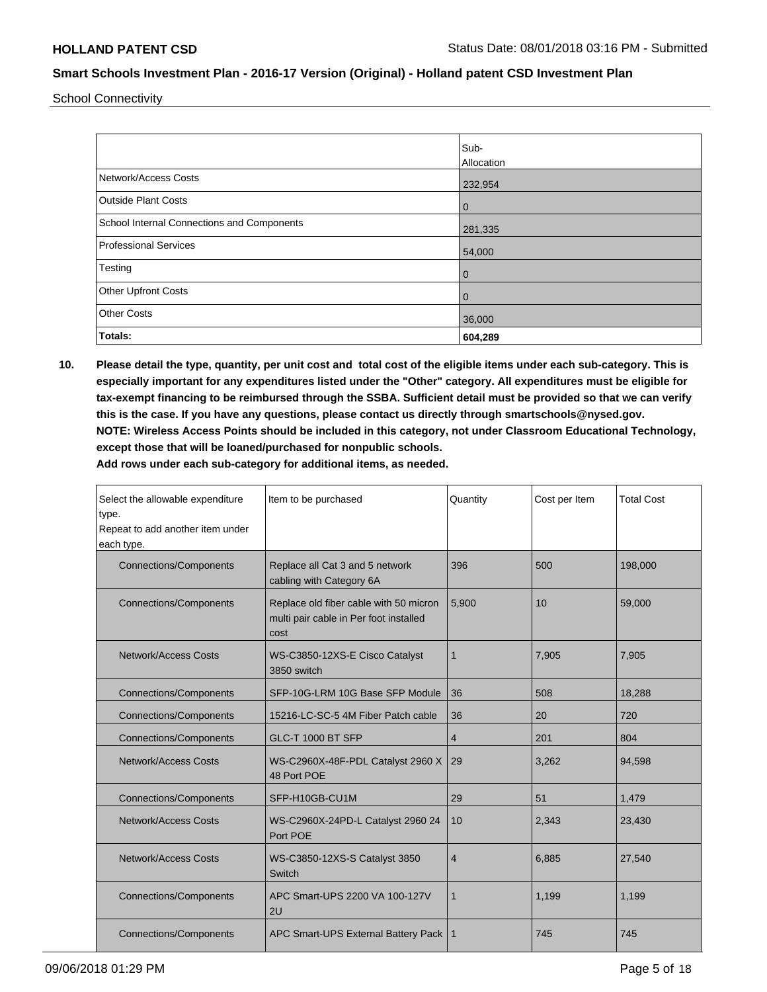School Connectivity

|                                            | Sub-           |
|--------------------------------------------|----------------|
|                                            | Allocation     |
| Network/Access Costs                       | 232,954        |
| <b>Outside Plant Costs</b>                 | $\mathbf 0$    |
| School Internal Connections and Components | 281,335        |
| Professional Services                      | 54,000         |
| Testing                                    | $\overline{0}$ |
| <b>Other Upfront Costs</b>                 | $\mathbf 0$    |
| <b>Other Costs</b>                         | 36,000         |
| Totals:                                    | 604,289        |

**10. Please detail the type, quantity, per unit cost and total cost of the eligible items under each sub-category. This is especially important for any expenditures listed under the "Other" category. All expenditures must be eligible for tax-exempt financing to be reimbursed through the SSBA. Sufficient detail must be provided so that we can verify this is the case. If you have any questions, please contact us directly through smartschools@nysed.gov. NOTE: Wireless Access Points should be included in this category, not under Classroom Educational Technology, except those that will be loaned/purchased for nonpublic schools.**

| Select the allowable expenditure<br>type.<br>Repeat to add another item under<br>each type. | Item to be purchased                                                                     | Quantity | Cost per Item | <b>Total Cost</b> |
|---------------------------------------------------------------------------------------------|------------------------------------------------------------------------------------------|----------|---------------|-------------------|
| <b>Connections/Components</b>                                                               | Replace all Cat 3 and 5 network<br>cabling with Category 6A                              | 396      | 500           | 198,000           |
| <b>Connections/Components</b>                                                               | Replace old fiber cable with 50 micron<br>multi pair cable in Per foot installed<br>cost | 5,900    | 10            | 59,000            |
| Network/Access Costs                                                                        | WS-C3850-12XS-E Cisco Catalyst<br>3850 switch                                            | 1        | 7.905         | 7,905             |
| <b>Connections/Components</b>                                                               | SFP-10G-LRM 10G Base SFP Module                                                          | 36       | 508           | 18,288            |
| <b>Connections/Components</b>                                                               | 15216-LC-SC-5 4M Fiber Patch cable                                                       | 36       | 20            | 720               |
| <b>Connections/Components</b>                                                               | <b>GLC-T 1000 BT SFP</b>                                                                 | 4        | 201           | 804               |
| Network/Access Costs                                                                        | WS-C2960X-48F-PDL Catalyst 2960 X<br>48 Port POE                                         | 29       | 3.262         | 94,598            |
| <b>Connections/Components</b>                                                               | SFP-H10GB-CU1M                                                                           | 29       | 51            | 1,479             |
| <b>Network/Access Costs</b>                                                                 | WS-C2960X-24PD-L Catalyst 2960 24<br>Port POE                                            | 10       | 2,343         | 23,430            |
| <b>Network/Access Costs</b>                                                                 | WS-C3850-12XS-S Catalyst 3850<br>Switch                                                  | 4        | 6,885         | 27,540            |
| <b>Connections/Components</b>                                                               | APC Smart-UPS 2200 VA 100-127V<br>2U                                                     | 1        | 1.199         | 1,199             |
| <b>Connections/Components</b>                                                               | APC Smart-UPS External Battery Pack                                                      | 1        | 745           | 745               |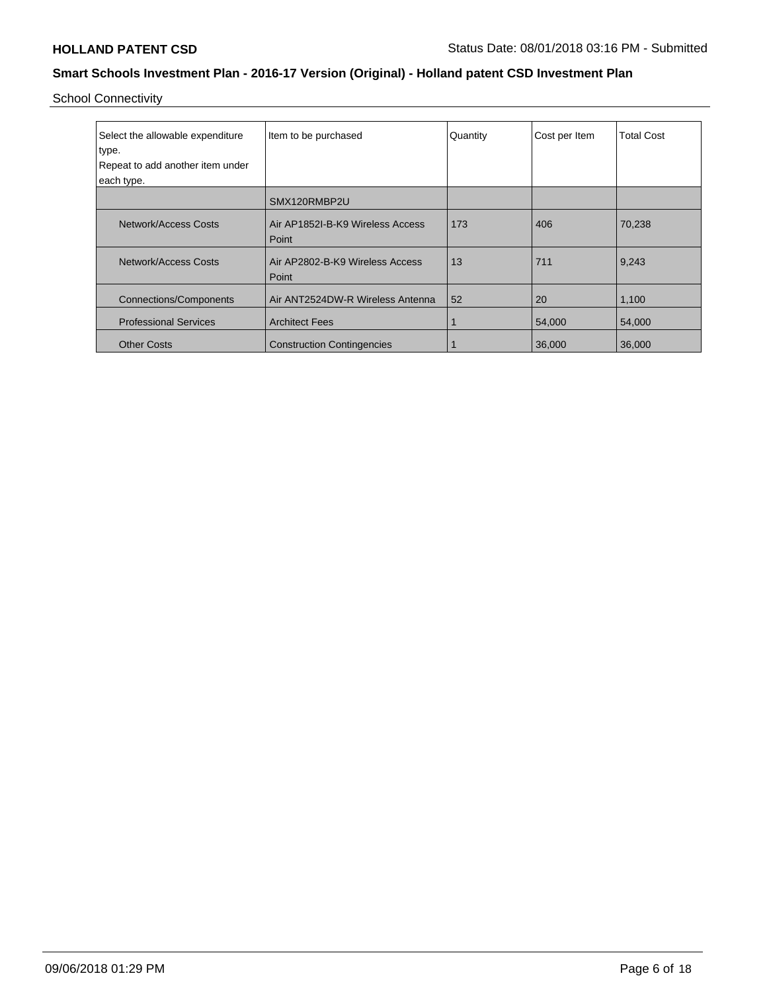School Connectivity

| Select the allowable expenditure | Item to be purchased              | Quantity | Cost per Item | <b>Total Cost</b> |
|----------------------------------|-----------------------------------|----------|---------------|-------------------|
| type.                            |                                   |          |               |                   |
| Repeat to add another item under |                                   |          |               |                   |
| each type.                       |                                   |          |               |                   |
|                                  | SMX120RMBP2U                      |          |               |                   |
| Network/Access Costs             | Air AP1852I-B-K9 Wireless Access  | 173      | 406           | 70,238            |
|                                  | Point                             |          |               |                   |
| Network/Access Costs             | Air AP2802-B-K9 Wireless Access   | 13       | 711           | 9,243             |
|                                  | Point                             |          |               |                   |
| <b>Connections/Components</b>    | Air ANT2524DW-R Wireless Antenna  | 52       | 20            | 1,100             |
| <b>Professional Services</b>     | <b>Architect Fees</b>             |          | 54,000        | 54,000            |
| <b>Other Costs</b>               | <b>Construction Contingencies</b> |          | 36,000        | 36,000            |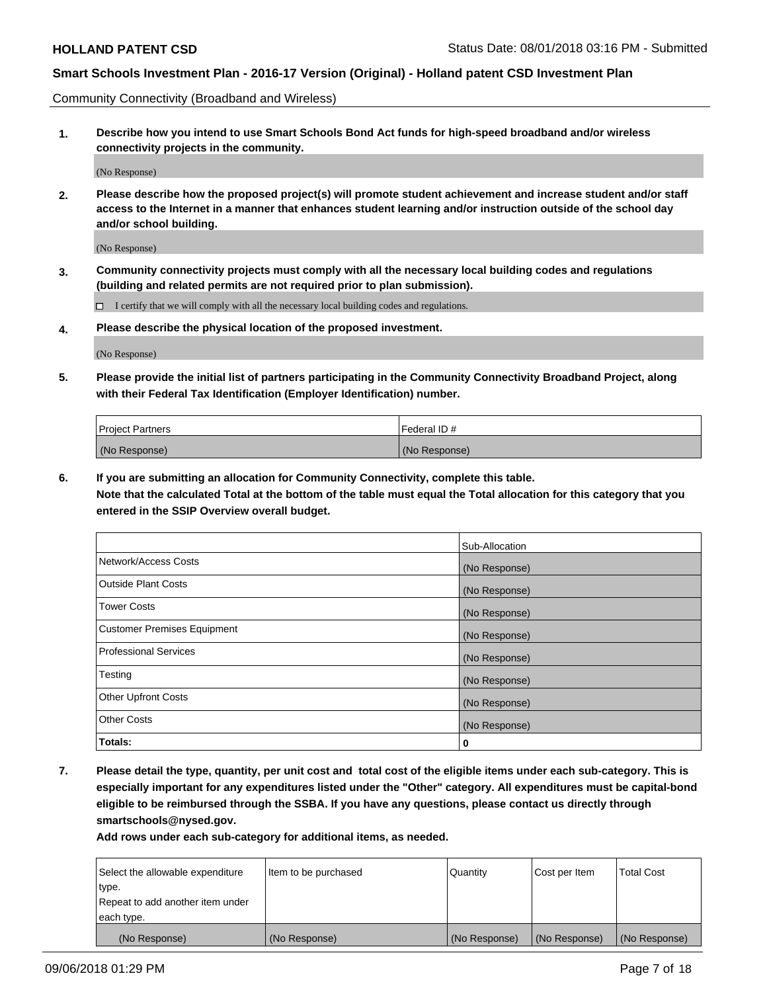Community Connectivity (Broadband and Wireless)

**1. Describe how you intend to use Smart Schools Bond Act funds for high-speed broadband and/or wireless connectivity projects in the community.**

(No Response)

**2. Please describe how the proposed project(s) will promote student achievement and increase student and/or staff access to the Internet in a manner that enhances student learning and/or instruction outside of the school day and/or school building.**

(No Response)

**3. Community connectivity projects must comply with all the necessary local building codes and regulations (building and related permits are not required prior to plan submission).**

 $\Box$  I certify that we will comply with all the necessary local building codes and regulations.

**4. Please describe the physical location of the proposed investment.**

(No Response)

**5. Please provide the initial list of partners participating in the Community Connectivity Broadband Project, along with their Federal Tax Identification (Employer Identification) number.**

| <b>Project Partners</b> | l Federal ID # |
|-------------------------|----------------|
| (No Response)           | (No Response)  |

**6. If you are submitting an allocation for Community Connectivity, complete this table.**

**Note that the calculated Total at the bottom of the table must equal the Total allocation for this category that you entered in the SSIP Overview overall budget.**

|                                    | Sub-Allocation |
|------------------------------------|----------------|
| Network/Access Costs               | (No Response)  |
| <b>Outside Plant Costs</b>         | (No Response)  |
| <b>Tower Costs</b>                 | (No Response)  |
| <b>Customer Premises Equipment</b> | (No Response)  |
| <b>Professional Services</b>       | (No Response)  |
| Testing                            | (No Response)  |
| <b>Other Upfront Costs</b>         | (No Response)  |
| <b>Other Costs</b>                 | (No Response)  |
| Totals:                            | 0              |

**7. Please detail the type, quantity, per unit cost and total cost of the eligible items under each sub-category. This is especially important for any expenditures listed under the "Other" category. All expenditures must be capital-bond eligible to be reimbursed through the SSBA. If you have any questions, please contact us directly through smartschools@nysed.gov.**

| Select the allowable expenditure | Item to be purchased | Quantity      | Cost per Item | <b>Total Cost</b> |
|----------------------------------|----------------------|---------------|---------------|-------------------|
| type.                            |                      |               |               |                   |
| Repeat to add another item under |                      |               |               |                   |
| each type.                       |                      |               |               |                   |
| (No Response)                    | (No Response)        | (No Response) | (No Response) | (No Response)     |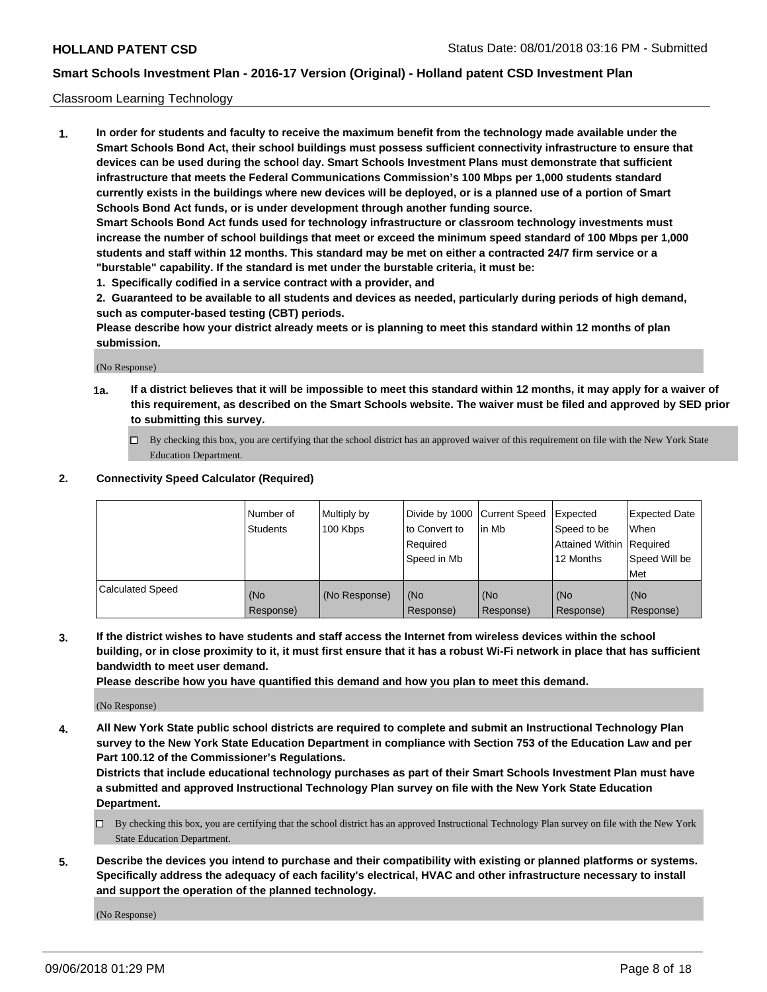#### Classroom Learning Technology

**1. In order for students and faculty to receive the maximum benefit from the technology made available under the Smart Schools Bond Act, their school buildings must possess sufficient connectivity infrastructure to ensure that devices can be used during the school day. Smart Schools Investment Plans must demonstrate that sufficient infrastructure that meets the Federal Communications Commission's 100 Mbps per 1,000 students standard currently exists in the buildings where new devices will be deployed, or is a planned use of a portion of Smart Schools Bond Act funds, or is under development through another funding source. Smart Schools Bond Act funds used for technology infrastructure or classroom technology investments must increase the number of school buildings that meet or exceed the minimum speed standard of 100 Mbps per 1,000 students and staff within 12 months. This standard may be met on either a contracted 24/7 firm service or a**

- **"burstable" capability. If the standard is met under the burstable criteria, it must be:**
- **1. Specifically codified in a service contract with a provider, and**

**2. Guaranteed to be available to all students and devices as needed, particularly during periods of high demand, such as computer-based testing (CBT) periods.**

**Please describe how your district already meets or is planning to meet this standard within 12 months of plan submission.**

(No Response)

- **1a. If a district believes that it will be impossible to meet this standard within 12 months, it may apply for a waiver of this requirement, as described on the Smart Schools website. The waiver must be filed and approved by SED prior to submitting this survey.**
	- By checking this box, you are certifying that the school district has an approved waiver of this requirement on file with the New York State Education Department.

#### **2. Connectivity Speed Calculator (Required)**

|                         | I Number of<br>Students | Multiply by<br>100 Kbps | to Convert to<br>Required<br>Speed in Mb | Divide by 1000 Current Speed Expected<br>lin Mb | Speed to be<br>Attained Within Required<br>12 Months | <b>Expected Date</b><br>When<br>Speed Will be<br>Met |
|-------------------------|-------------------------|-------------------------|------------------------------------------|-------------------------------------------------|------------------------------------------------------|------------------------------------------------------|
| <b>Calculated Speed</b> | (No<br>Response)        | (No Response)           | (No<br>Response)                         | (No<br>Response)                                | (No<br>Response)                                     | (No<br>Response)                                     |

**3. If the district wishes to have students and staff access the Internet from wireless devices within the school building, or in close proximity to it, it must first ensure that it has a robust Wi-Fi network in place that has sufficient bandwidth to meet user demand.**

**Please describe how you have quantified this demand and how you plan to meet this demand.**

(No Response)

**4. All New York State public school districts are required to complete and submit an Instructional Technology Plan survey to the New York State Education Department in compliance with Section 753 of the Education Law and per Part 100.12 of the Commissioner's Regulations.**

**Districts that include educational technology purchases as part of their Smart Schools Investment Plan must have a submitted and approved Instructional Technology Plan survey on file with the New York State Education Department.**

- $\Box$  By checking this box, you are certifying that the school district has an approved Instructional Technology Plan survey on file with the New York State Education Department.
- **5. Describe the devices you intend to purchase and their compatibility with existing or planned platforms or systems. Specifically address the adequacy of each facility's electrical, HVAC and other infrastructure necessary to install and support the operation of the planned technology.**

(No Response)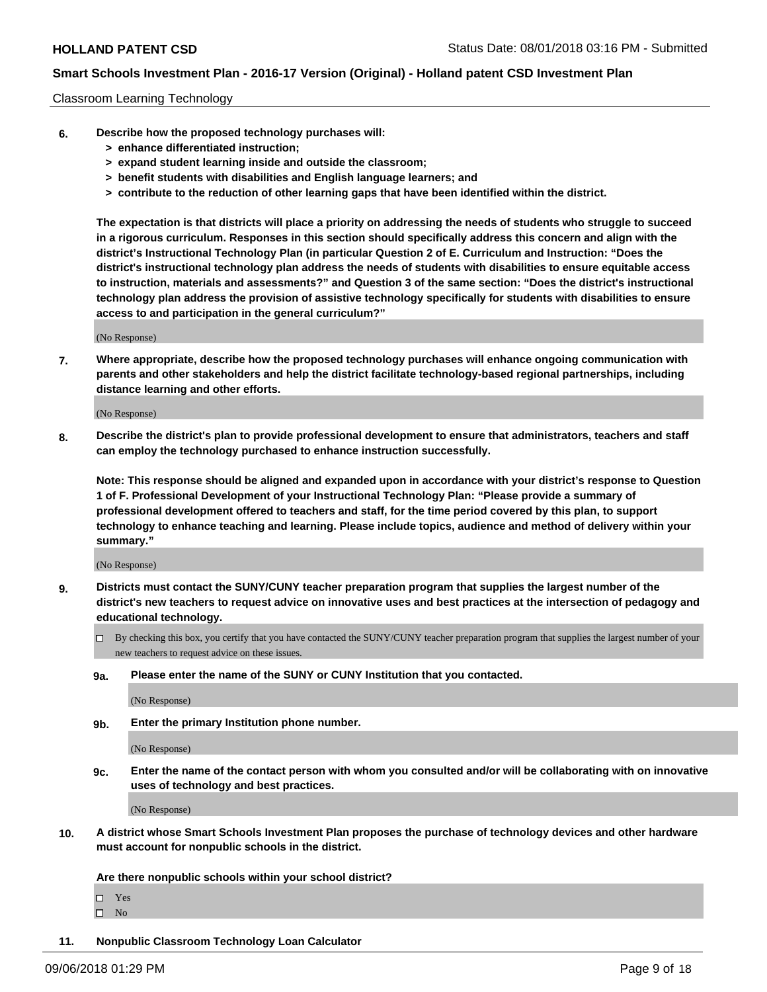#### Classroom Learning Technology

- **6. Describe how the proposed technology purchases will:**
	- **> enhance differentiated instruction;**
	- **> expand student learning inside and outside the classroom;**
	- **> benefit students with disabilities and English language learners; and**
	- **> contribute to the reduction of other learning gaps that have been identified within the district.**

**The expectation is that districts will place a priority on addressing the needs of students who struggle to succeed in a rigorous curriculum. Responses in this section should specifically address this concern and align with the district's Instructional Technology Plan (in particular Question 2 of E. Curriculum and Instruction: "Does the district's instructional technology plan address the needs of students with disabilities to ensure equitable access to instruction, materials and assessments?" and Question 3 of the same section: "Does the district's instructional technology plan address the provision of assistive technology specifically for students with disabilities to ensure access to and participation in the general curriculum?"**

(No Response)

**7. Where appropriate, describe how the proposed technology purchases will enhance ongoing communication with parents and other stakeholders and help the district facilitate technology-based regional partnerships, including distance learning and other efforts.**

(No Response)

**8. Describe the district's plan to provide professional development to ensure that administrators, teachers and staff can employ the technology purchased to enhance instruction successfully.**

**Note: This response should be aligned and expanded upon in accordance with your district's response to Question 1 of F. Professional Development of your Instructional Technology Plan: "Please provide a summary of professional development offered to teachers and staff, for the time period covered by this plan, to support technology to enhance teaching and learning. Please include topics, audience and method of delivery within your summary."**

(No Response)

- **9. Districts must contact the SUNY/CUNY teacher preparation program that supplies the largest number of the district's new teachers to request advice on innovative uses and best practices at the intersection of pedagogy and educational technology.**
	- By checking this box, you certify that you have contacted the SUNY/CUNY teacher preparation program that supplies the largest number of your new teachers to request advice on these issues.
	- **9a. Please enter the name of the SUNY or CUNY Institution that you contacted.**

(No Response)

**9b. Enter the primary Institution phone number.**

(No Response)

**9c. Enter the name of the contact person with whom you consulted and/or will be collaborating with on innovative uses of technology and best practices.**

(No Response)

**10. A district whose Smart Schools Investment Plan proposes the purchase of technology devices and other hardware must account for nonpublic schools in the district.**

**Are there nonpublic schools within your school district?**

Yes

 $\square$  No

**11. Nonpublic Classroom Technology Loan Calculator**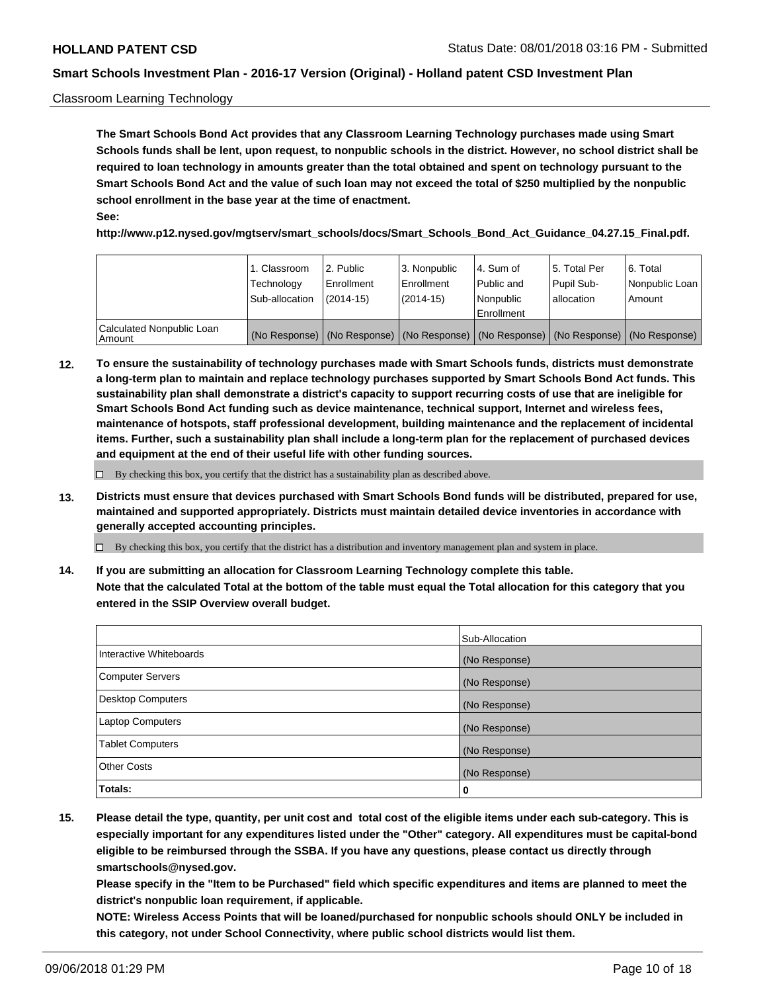#### Classroom Learning Technology

**The Smart Schools Bond Act provides that any Classroom Learning Technology purchases made using Smart Schools funds shall be lent, upon request, to nonpublic schools in the district. However, no school district shall be required to loan technology in amounts greater than the total obtained and spent on technology pursuant to the Smart Schools Bond Act and the value of such loan may not exceed the total of \$250 multiplied by the nonpublic school enrollment in the base year at the time of enactment. See:**

**http://www.p12.nysed.gov/mgtserv/smart\_schools/docs/Smart\_Schools\_Bond\_Act\_Guidance\_04.27.15\_Final.pdf.**

|                                       | 1. Classroom<br>Technology<br>Sub-allocation | 2. Public<br>l Enrollment<br>$(2014-15)$ | l 3. Nonpublic<br>l Enrollment<br>$(2014 - 15)$ | l 4. Sum of<br>Public and<br>l Nonpublic<br>Enrollment                                        | 15. Total Per<br>Pupil Sub-<br>l allocation | l 6. Total<br>Nonpublic Loan<br>Amount |
|---------------------------------------|----------------------------------------------|------------------------------------------|-------------------------------------------------|-----------------------------------------------------------------------------------------------|---------------------------------------------|----------------------------------------|
| Calculated Nonpublic Loan<br>l Amount |                                              |                                          |                                                 | (No Response)   (No Response)   (No Response)   (No Response)   (No Response)   (No Response) |                                             |                                        |

**12. To ensure the sustainability of technology purchases made with Smart Schools funds, districts must demonstrate a long-term plan to maintain and replace technology purchases supported by Smart Schools Bond Act funds. This sustainability plan shall demonstrate a district's capacity to support recurring costs of use that are ineligible for Smart Schools Bond Act funding such as device maintenance, technical support, Internet and wireless fees, maintenance of hotspots, staff professional development, building maintenance and the replacement of incidental items. Further, such a sustainability plan shall include a long-term plan for the replacement of purchased devices and equipment at the end of their useful life with other funding sources.**

 $\Box$  By checking this box, you certify that the district has a sustainability plan as described above.

**13. Districts must ensure that devices purchased with Smart Schools Bond funds will be distributed, prepared for use, maintained and supported appropriately. Districts must maintain detailed device inventories in accordance with generally accepted accounting principles.**

By checking this box, you certify that the district has a distribution and inventory management plan and system in place.

**14. If you are submitting an allocation for Classroom Learning Technology complete this table. Note that the calculated Total at the bottom of the table must equal the Total allocation for this category that you entered in the SSIP Overview overall budget.**

|                         | Sub-Allocation |
|-------------------------|----------------|
| Interactive Whiteboards | (No Response)  |
| Computer Servers        | (No Response)  |
| Desktop Computers       | (No Response)  |
| Laptop Computers        | (No Response)  |
| <b>Tablet Computers</b> | (No Response)  |
| <b>Other Costs</b>      | (No Response)  |
| Totals:                 | 0              |

**15. Please detail the type, quantity, per unit cost and total cost of the eligible items under each sub-category. This is especially important for any expenditures listed under the "Other" category. All expenditures must be capital-bond eligible to be reimbursed through the SSBA. If you have any questions, please contact us directly through smartschools@nysed.gov.**

**Please specify in the "Item to be Purchased" field which specific expenditures and items are planned to meet the district's nonpublic loan requirement, if applicable.**

**NOTE: Wireless Access Points that will be loaned/purchased for nonpublic schools should ONLY be included in this category, not under School Connectivity, where public school districts would list them.**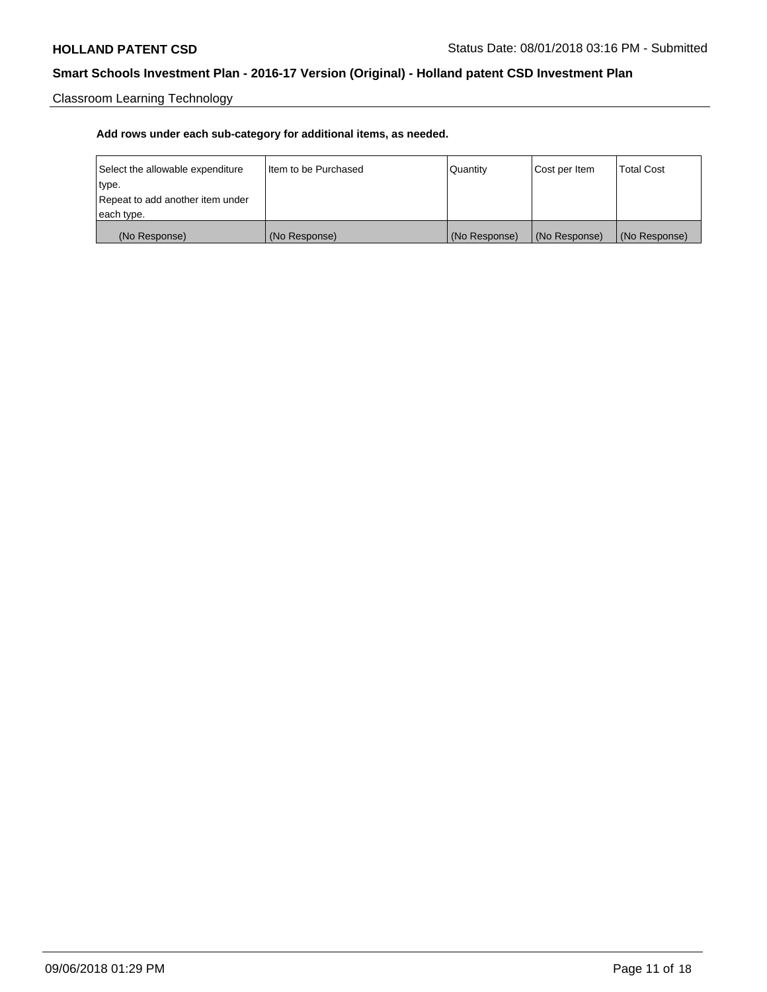Classroom Learning Technology

| Select the allowable expenditure | Iltem to be Purchased | Quantity      | Cost per Item | <b>Total Cost</b> |
|----------------------------------|-----------------------|---------------|---------------|-------------------|
| type.                            |                       |               |               |                   |
| Repeat to add another item under |                       |               |               |                   |
| each type.                       |                       |               |               |                   |
| (No Response)                    | (No Response)         | (No Response) | (No Response) | (No Response)     |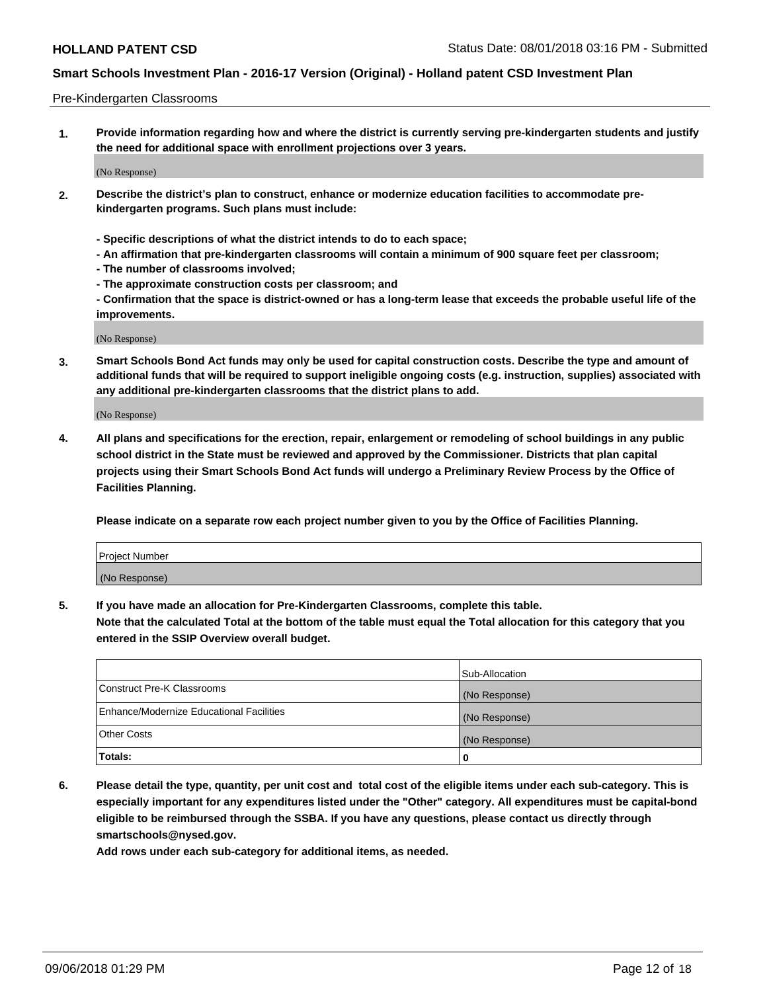#### Pre-Kindergarten Classrooms

**1. Provide information regarding how and where the district is currently serving pre-kindergarten students and justify the need for additional space with enrollment projections over 3 years.**

(No Response)

- **2. Describe the district's plan to construct, enhance or modernize education facilities to accommodate prekindergarten programs. Such plans must include:**
	- **Specific descriptions of what the district intends to do to each space;**
	- **An affirmation that pre-kindergarten classrooms will contain a minimum of 900 square feet per classroom;**
	- **The number of classrooms involved;**
	- **The approximate construction costs per classroom; and**
	- **Confirmation that the space is district-owned or has a long-term lease that exceeds the probable useful life of the improvements.**

(No Response)

**3. Smart Schools Bond Act funds may only be used for capital construction costs. Describe the type and amount of additional funds that will be required to support ineligible ongoing costs (e.g. instruction, supplies) associated with any additional pre-kindergarten classrooms that the district plans to add.**

(No Response)

**4. All plans and specifications for the erection, repair, enlargement or remodeling of school buildings in any public school district in the State must be reviewed and approved by the Commissioner. Districts that plan capital projects using their Smart Schools Bond Act funds will undergo a Preliminary Review Process by the Office of Facilities Planning.**

**Please indicate on a separate row each project number given to you by the Office of Facilities Planning.**

| Project Number |  |
|----------------|--|
| (No Response)  |  |
|                |  |

**5. If you have made an allocation for Pre-Kindergarten Classrooms, complete this table.**

**Note that the calculated Total at the bottom of the table must equal the Total allocation for this category that you entered in the SSIP Overview overall budget.**

|                                          | Sub-Allocation |
|------------------------------------------|----------------|
| Construct Pre-K Classrooms               | (No Response)  |
| Enhance/Modernize Educational Facilities | (No Response)  |
| <b>Other Costs</b>                       | (No Response)  |
| Totals:                                  | 0              |

**6. Please detail the type, quantity, per unit cost and total cost of the eligible items under each sub-category. This is especially important for any expenditures listed under the "Other" category. All expenditures must be capital-bond eligible to be reimbursed through the SSBA. If you have any questions, please contact us directly through smartschools@nysed.gov.**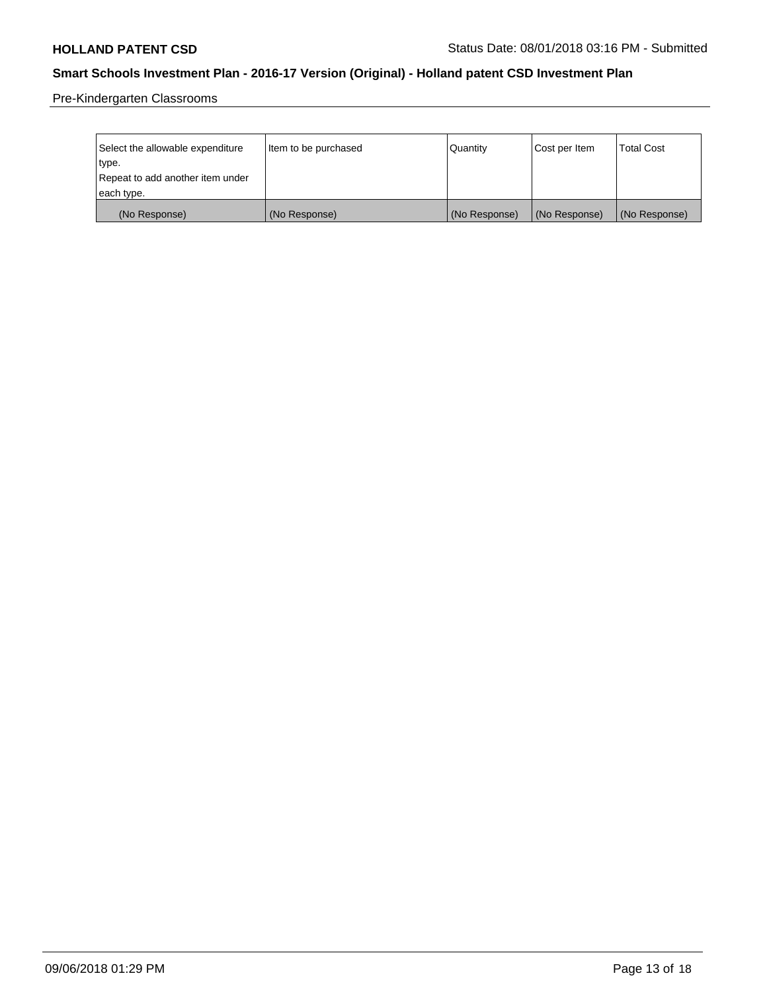Pre-Kindergarten Classrooms

| Select the allowable expenditure | Item to be purchased | Quantity      | Cost per Item | <b>Total Cost</b> |
|----------------------------------|----------------------|---------------|---------------|-------------------|
| type.                            |                      |               |               |                   |
| Repeat to add another item under |                      |               |               |                   |
| each type.                       |                      |               |               |                   |
| (No Response)                    | (No Response)        | (No Response) | (No Response) | (No Response)     |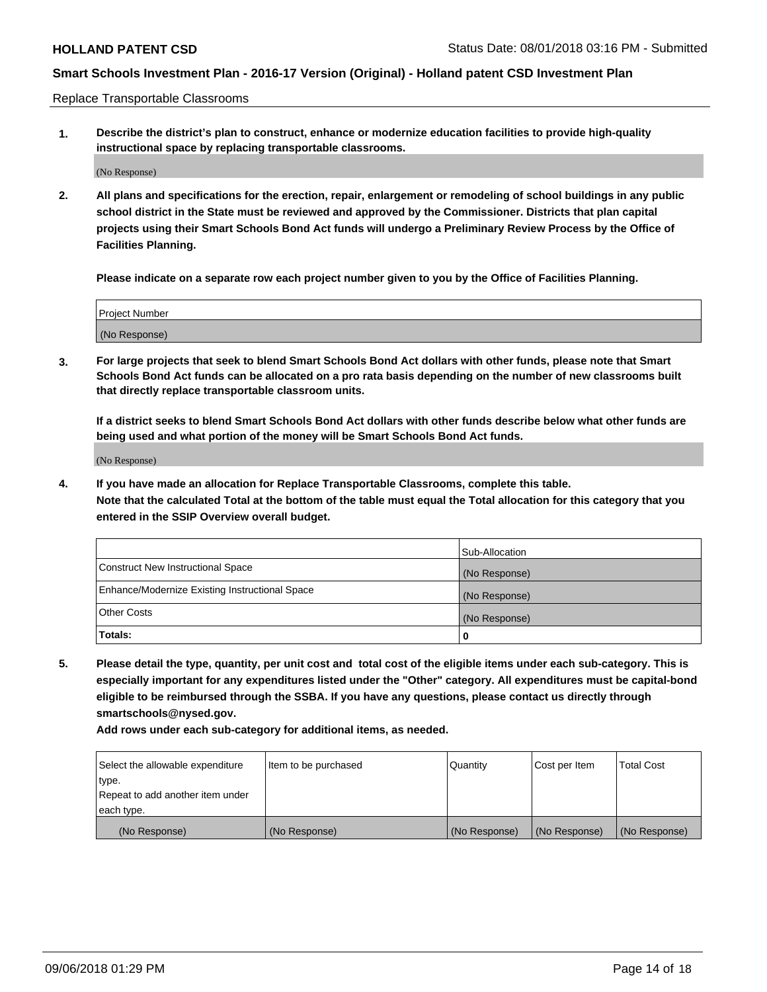Replace Transportable Classrooms

**1. Describe the district's plan to construct, enhance or modernize education facilities to provide high-quality instructional space by replacing transportable classrooms.**

(No Response)

**2. All plans and specifications for the erection, repair, enlargement or remodeling of school buildings in any public school district in the State must be reviewed and approved by the Commissioner. Districts that plan capital projects using their Smart Schools Bond Act funds will undergo a Preliminary Review Process by the Office of Facilities Planning.**

**Please indicate on a separate row each project number given to you by the Office of Facilities Planning.**

| Project Number |  |
|----------------|--|
|                |  |
|                |  |
|                |  |
|                |  |
| (No Response)  |  |
|                |  |
|                |  |
|                |  |

**3. For large projects that seek to blend Smart Schools Bond Act dollars with other funds, please note that Smart Schools Bond Act funds can be allocated on a pro rata basis depending on the number of new classrooms built that directly replace transportable classroom units.**

**If a district seeks to blend Smart Schools Bond Act dollars with other funds describe below what other funds are being used and what portion of the money will be Smart Schools Bond Act funds.**

(No Response)

**4. If you have made an allocation for Replace Transportable Classrooms, complete this table. Note that the calculated Total at the bottom of the table must equal the Total allocation for this category that you entered in the SSIP Overview overall budget.**

|                                                | Sub-Allocation |
|------------------------------------------------|----------------|
| Construct New Instructional Space              | (No Response)  |
| Enhance/Modernize Existing Instructional Space | (No Response)  |
| <b>Other Costs</b>                             | (No Response)  |
| Totals:                                        | 0              |

**5. Please detail the type, quantity, per unit cost and total cost of the eligible items under each sub-category. This is especially important for any expenditures listed under the "Other" category. All expenditures must be capital-bond eligible to be reimbursed through the SSBA. If you have any questions, please contact us directly through smartschools@nysed.gov.**

| Select the allowable expenditure | Item to be purchased | l Quantitv    | Cost per Item | <b>Total Cost</b> |
|----------------------------------|----------------------|---------------|---------------|-------------------|
| type.                            |                      |               |               |                   |
| Repeat to add another item under |                      |               |               |                   |
| each type.                       |                      |               |               |                   |
| (No Response)                    | (No Response)        | (No Response) | (No Response) | (No Response)     |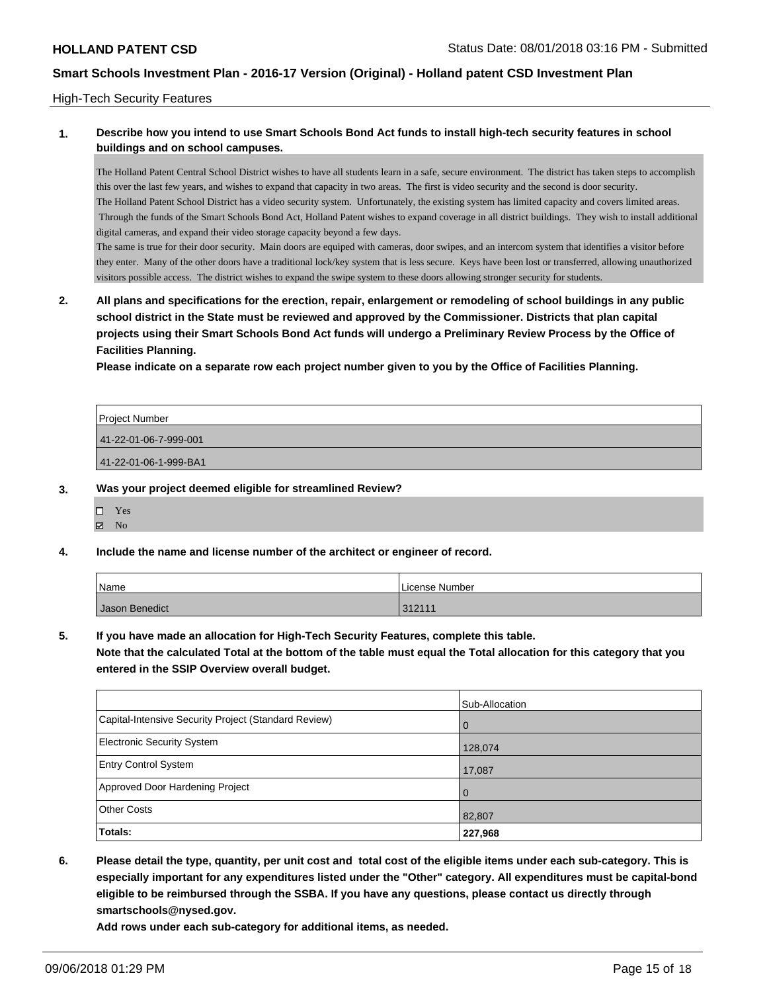#### High-Tech Security Features

## **1. Describe how you intend to use Smart Schools Bond Act funds to install high-tech security features in school buildings and on school campuses.**

The Holland Patent Central School District wishes to have all students learn in a safe, secure environment. The district has taken steps to accomplish this over the last few years, and wishes to expand that capacity in two areas. The first is video security and the second is door security. The Holland Patent School District has a video security system. Unfortunately, the existing system has limited capacity and covers limited areas. Through the funds of the Smart Schools Bond Act, Holland Patent wishes to expand coverage in all district buildings. They wish to install additional digital cameras, and expand their video storage capacity beyond a few days.

The same is true for their door security. Main doors are equiped with cameras, door swipes, and an intercom system that identifies a visitor before they enter. Many of the other doors have a traditional lock/key system that is less secure. Keys have been lost or transferred, allowing unauthorized visitors possible access. The district wishes to expand the swipe system to these doors allowing stronger security for students.

**2. All plans and specifications for the erection, repair, enlargement or remodeling of school buildings in any public school district in the State must be reviewed and approved by the Commissioner. Districts that plan capital projects using their Smart Schools Bond Act funds will undergo a Preliminary Review Process by the Office of Facilities Planning.** 

**Please indicate on a separate row each project number given to you by the Office of Facilities Planning.**

| 41-22-01-06-7-999-001 |  |
|-----------------------|--|
|                       |  |
| 41-22-01-06-1-999-BA1 |  |

#### **3. Was your project deemed eligible for streamlined Review?**

Yes  $\boxtimes$  No

## **4. Include the name and license number of the architect or engineer of record.**

| Name           | I License Number |
|----------------|------------------|
| Jason Benedict | 312111           |

#### **5. If you have made an allocation for High-Tech Security Features, complete this table.**

**Note that the calculated Total at the bottom of the table must equal the Total allocation for this category that you entered in the SSIP Overview overall budget.**

|                                                      | Sub-Allocation |
|------------------------------------------------------|----------------|
| Capital-Intensive Security Project (Standard Review) | l 0            |
| <b>Electronic Security System</b>                    | 128,074        |
| <b>Entry Control System</b>                          | 17,087         |
| Approved Door Hardening Project                      | l O            |
| <b>Other Costs</b>                                   | 82,807         |
| Totals:                                              | 227,968        |

**6. Please detail the type, quantity, per unit cost and total cost of the eligible items under each sub-category. This is especially important for any expenditures listed under the "Other" category. All expenditures must be capital-bond eligible to be reimbursed through the SSBA. If you have any questions, please contact us directly through smartschools@nysed.gov.**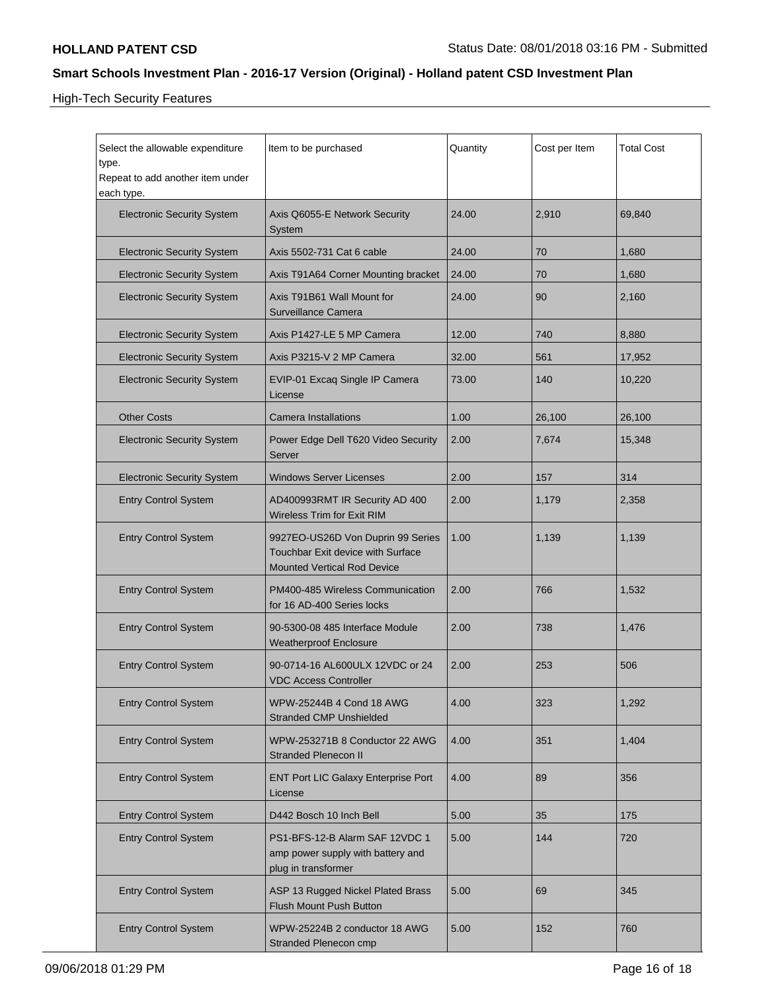High-Tech Security Features

| Select the allowable expenditure<br>type.<br>Repeat to add another item under<br>each type. | Item to be purchased                                                                                         | Quantity | Cost per Item | <b>Total Cost</b> |
|---------------------------------------------------------------------------------------------|--------------------------------------------------------------------------------------------------------------|----------|---------------|-------------------|
| <b>Electronic Security System</b>                                                           | Axis Q6055-E Network Security<br>System                                                                      | 24.00    | 2,910         | 69,840            |
| <b>Electronic Security System</b>                                                           | Axis 5502-731 Cat 6 cable                                                                                    | 24.00    | 70            | 1,680             |
| <b>Electronic Security System</b>                                                           | Axis T91A64 Corner Mounting bracket                                                                          | 24.00    | 70            | 1,680             |
| <b>Electronic Security System</b>                                                           | Axis T91B61 Wall Mount for<br>Surveillance Camera                                                            | 24.00    | 90            | 2,160             |
| <b>Electronic Security System</b>                                                           | Axis P1427-LE 5 MP Camera                                                                                    | 12.00    | 740           | 8,880             |
| <b>Electronic Security System</b>                                                           | Axis P3215-V 2 MP Camera                                                                                     | 32.00    | 561           | 17,952            |
| <b>Electronic Security System</b>                                                           | EVIP-01 Excaq Single IP Camera<br>License                                                                    | 73.00    | 140           | 10,220            |
| <b>Other Costs</b>                                                                          | <b>Camera Installations</b>                                                                                  | 1.00     | 26,100        | 26,100            |
| <b>Electronic Security System</b>                                                           | Power Edge Dell T620 Video Security<br>Server                                                                | 2.00     | 7,674         | 15,348            |
| <b>Electronic Security System</b>                                                           | <b>Windows Server Licenses</b>                                                                               | 2.00     | 157           | 314               |
| <b>Entry Control System</b>                                                                 | AD400993RMT IR Security AD 400<br>Wireless Trim for Exit RIM                                                 | 2.00     | 1,179         | 2,358             |
| <b>Entry Control System</b>                                                                 | 9927EO-US26D Von Duprin 99 Series<br>Touchbar Exit device with Surface<br><b>Mounted Vertical Rod Device</b> | 1.00     | 1,139         | 1,139             |
| <b>Entry Control System</b>                                                                 | PM400-485 Wireless Communication<br>for 16 AD-400 Series locks                                               | 2.00     | 766           | 1,532             |
| <b>Entry Control System</b>                                                                 | 90-5300-08 485 Interface Module<br><b>Weatherproof Enclosure</b>                                             | 2.00     | 738           | 1,476             |
| <b>Entry Control System</b>                                                                 | 90-0714-16 AL600ULX 12VDC or 24<br><b>VDC Access Controller</b>                                              | 2.00     | 253           | 506               |
| <b>Entry Control System</b>                                                                 | WPW-25244B 4 Cond 18 AWG<br><b>Stranded CMP Unshielded</b>                                                   | 4.00     | 323           | 1,292             |
| <b>Entry Control System</b>                                                                 | WPW-253271B 8 Conductor 22 AWG<br><b>Stranded Plenecon II</b>                                                | 4.00     | 351           | 1,404             |
| <b>Entry Control System</b>                                                                 | ENT Port LIC Galaxy Enterprise Port<br>License                                                               | 4.00     | 89            | 356               |
| <b>Entry Control System</b>                                                                 | D442 Bosch 10 Inch Bell                                                                                      | 5.00     | 35            | 175               |
| <b>Entry Control System</b>                                                                 | PS1-BFS-12-B Alarm SAF 12VDC 1<br>amp power supply with battery and<br>plug in transformer                   | 5.00     | 144           | 720               |
| <b>Entry Control System</b>                                                                 | ASP 13 Rugged Nickel Plated Brass<br>Flush Mount Push Button                                                 | 5.00     | 69            | 345               |
| <b>Entry Control System</b>                                                                 | WPW-25224B 2 conductor 18 AWG<br>Stranded Plenecon cmp                                                       | 5.00     | 152           | 760               |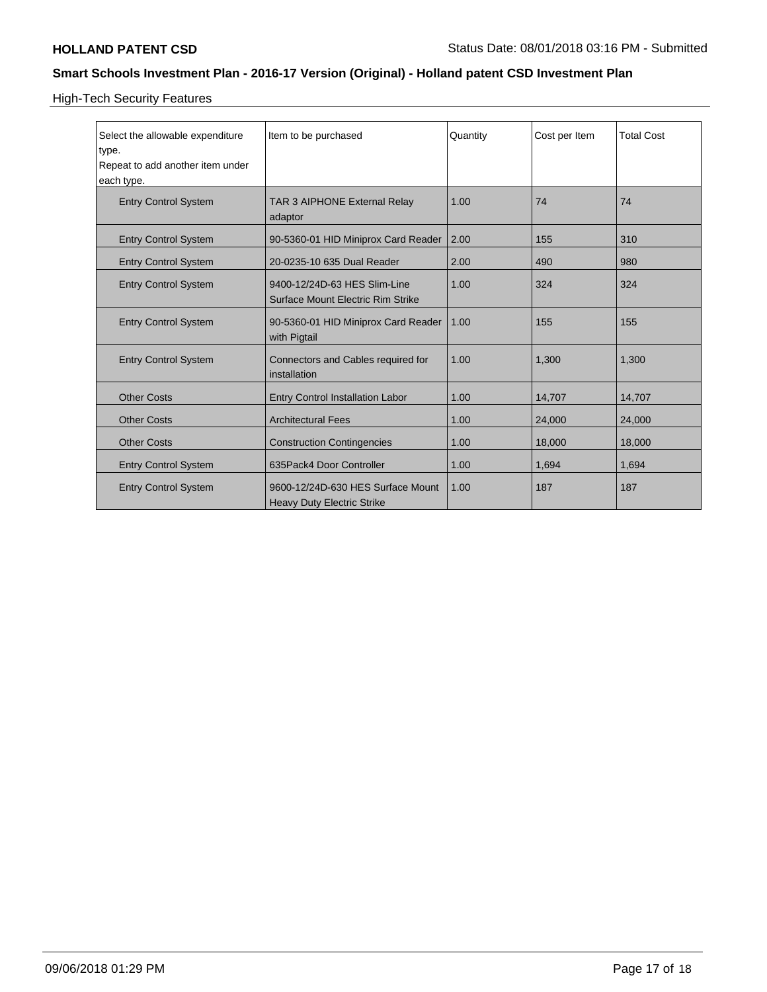High-Tech Security Features

| Select the allowable expenditure<br>type.<br>Repeat to add another item under<br>each type. | Item to be purchased                                                   | Quantity | Cost per Item | <b>Total Cost</b> |
|---------------------------------------------------------------------------------------------|------------------------------------------------------------------------|----------|---------------|-------------------|
| <b>Entry Control System</b>                                                                 | <b>TAR 3 AIPHONE External Relay</b><br>adaptor                         | 1.00     | 74            | 74                |
| <b>Entry Control System</b>                                                                 | 90-5360-01 HID Miniprox Card Reader                                    | 2.00     | 155           | 310               |
| <b>Entry Control System</b>                                                                 | 20-0235-10 635 Dual Reader                                             | 2.00     | 490           | 980               |
| <b>Entry Control System</b>                                                                 | 9400-12/24D-63 HES Slim-Line<br>Surface Mount Electric Rim Strike      | 1.00     | 324           | 324               |
| <b>Entry Control System</b>                                                                 | 90-5360-01 HID Miniprox Card Reader<br>with Pigtail                    | 1.00     | 155           | 155               |
| <b>Entry Control System</b>                                                                 | Connectors and Cables required for<br>installation                     | 1.00     | 1.300         | 1,300             |
| <b>Other Costs</b>                                                                          | Entry Control Installation Labor                                       | 1.00     | 14,707        | 14,707            |
| <b>Other Costs</b>                                                                          | <b>Architectural Fees</b>                                              | 1.00     | 24,000        | 24,000            |
| <b>Other Costs</b>                                                                          | <b>Construction Contingencies</b>                                      | 1.00     | 18,000        | 18,000            |
| <b>Entry Control System</b>                                                                 | 635Pack4 Door Controller                                               | 1.00     | 1,694         | 1,694             |
| <b>Entry Control System</b>                                                                 | 9600-12/24D-630 HES Surface Mount<br><b>Heavy Duty Electric Strike</b> | 1.00     | 187           | 187               |